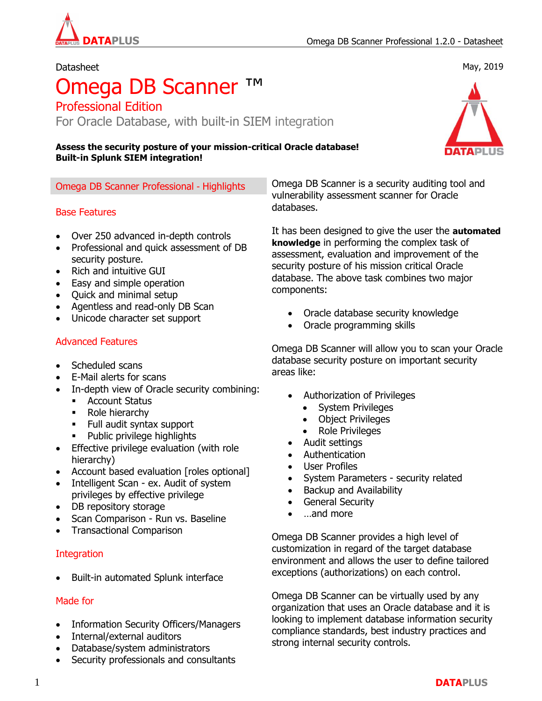May, 2019

#### Datasheet

# Omega DB Scanner ™

Professional Edition For Oracle Database, with built-in SIEM integration

#### **Assess the security posture of your mission-critical Oracle database! Built-in Splunk SIEM integration!**

## Base Features

- Over 250 advanced in-depth controls
- Professional and quick assessment of DB security posture.
- Rich and intuitive GUI
- Easy and simple operation
- Quick and minimal setup
- Agentless and read-only DB Scan
- Unicode character set support

## Advanced Features

- Scheduled scans
- E-Mail alerts for scans
- In-depth view of Oracle security combining:
	- **-** Account Status
	- Role hierarchy
	- Full audit syntax support
	- Public privilege highlights
- **•** Effective privilege evaluation (with role hierarchy)
- Account based evaluation [roles optional]
- Intelligent Scan ex. Audit of system privileges by effective privilege
- DB repository storage
- Scan Comparison Run vs. Baseline
- Transactional Comparison

#### **Integration**

• Built-in automated Splunk interface

#### Made for

- Information Security Officers/Managers
- Internal/external auditors
- Database/system administrators
- Security professionals and consultants

Omega DB Scanner Professional - Highlights Comega DB Scanner is a security auditing tool and vulnerability assessment scanner for Oracle databases.

> It has been designed to give the user the **automated knowledge** in performing the complex task of assessment, evaluation and improvement of the security posture of his mission critical Oracle database. The above task combines two major components:

- Oracle database security knowledge
- Oracle programming skills

Omega DB Scanner will allow you to scan your Oracle database security posture on important security areas like:

- Authorization of Privileges
	- System Privileges
	- Object Privileges
	- Role Privileges
- Audit settings
- Authentication
- User Profiles
- System Parameters security related
- Backup and Availability
- General Security
- …and more

Omega DB Scanner provides a high level of customization in regard of the target database environment and allows the user to define tailored exceptions (authorizations) on each control.

Omega DB Scanner can be virtually used by any organization that uses an Oracle database and it is looking to implement database information security compliance standards, best industry practices and strong internal security controls.